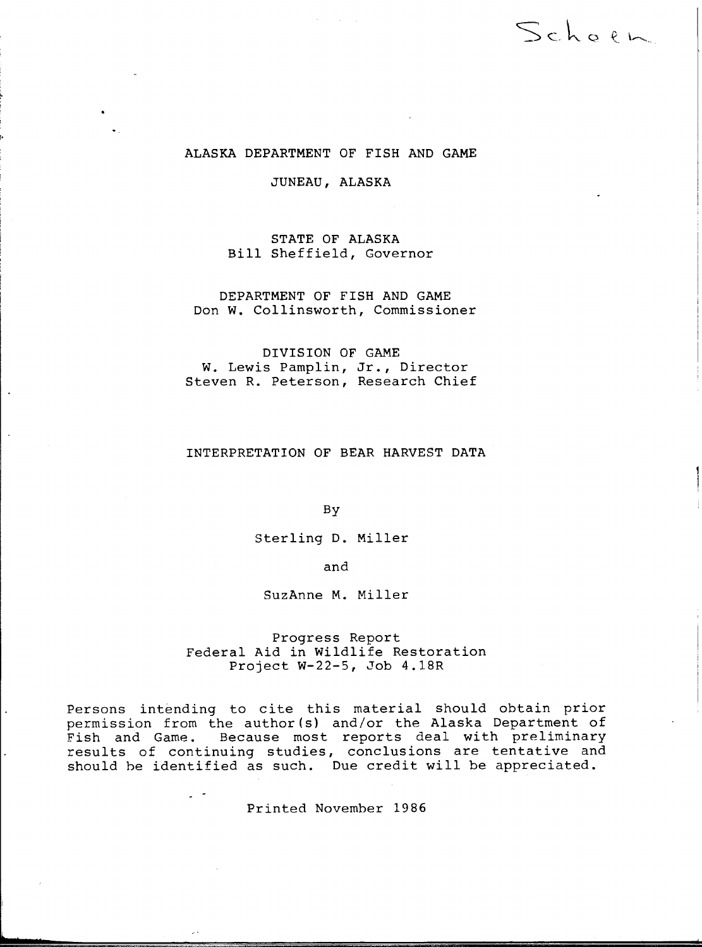# ALASKA DEPARTMENT OF FISH AND GAME

Schoen

JUNEAU, ALASKA

STATE OF ALASKA Bill Sheffield, Governor

DEPARTMENT OF FISH AND GAME Don w. Collinsworth, Commissioner

DIVISION OF GAME W. Lewis Pamplin, Jr., Director Steven R. Peterson, Research Chief

# INTERPRETATION OF BEAR HARVEST DATA

By

Sterling D. Miller

and

SuzAnne M. Miller

Progress Report Federal Aid in Wildlife Restoration Project W-22-5, Job 4.18R

Persons intending to cite this material should obtain prior permission from the author(s) and/or the Alaska Department of Fish and Game. Because most reports deal with preliminary results of continuing studies, conclusions are tentative and should be identified as such. Due credit will be appreciated.

Printed November 1986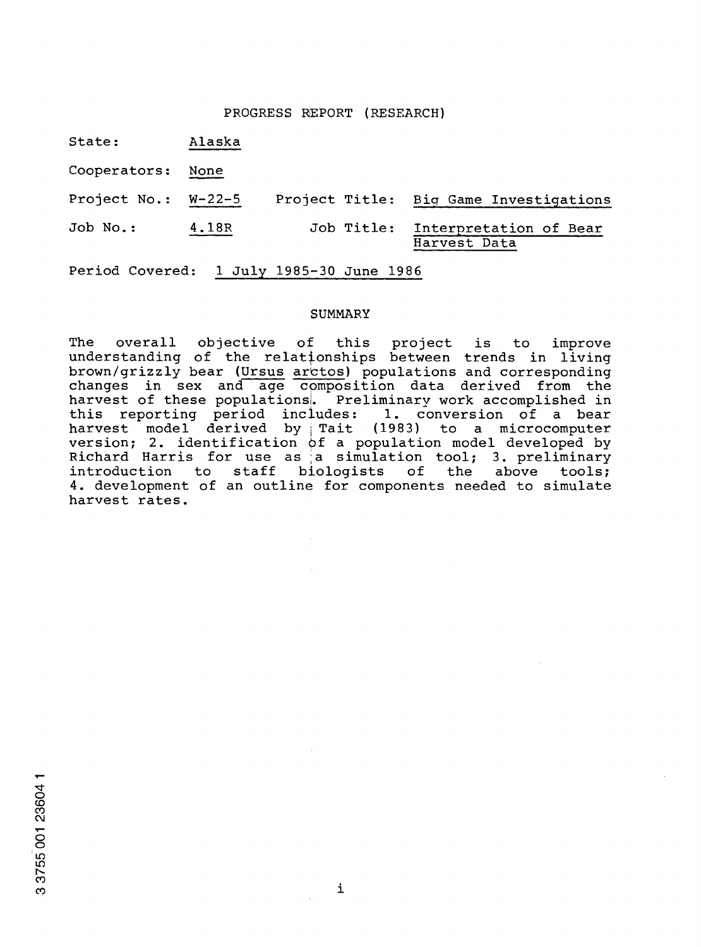# PROGRESS REPORT (RESEARCH)

State: Alaska

Cooperators: None

Project No.: W-22-5 Project Title: Biq Game Investigations Job No.: 4.18R Job Title: Interpretation of Bear

Harvest Data

Period Covered: 1 July 1985-30 June 1986

## SUMMARY

The overall objective of this project is to improve understanding of the relationships between trends in living brown/grizzly bear (Ursus arctos) populations and corresponding changes in sex and age cpmposition data derived from the harvest of these populations. Preliminary work accomplished in<br>this reporting period includes: 1. conversion of a bear this reporting period includes: harvest model derived by Tait (1983) to a microcomputer version; 2. identification  $\phi$ f a population model developed by Richard Harris for use as a simulation tool; 3. preliminary introduction to staff biologists of the above tools; introduction to 4. development of an outline for components needed to simulate harvest rates. staff biologists of the above tools;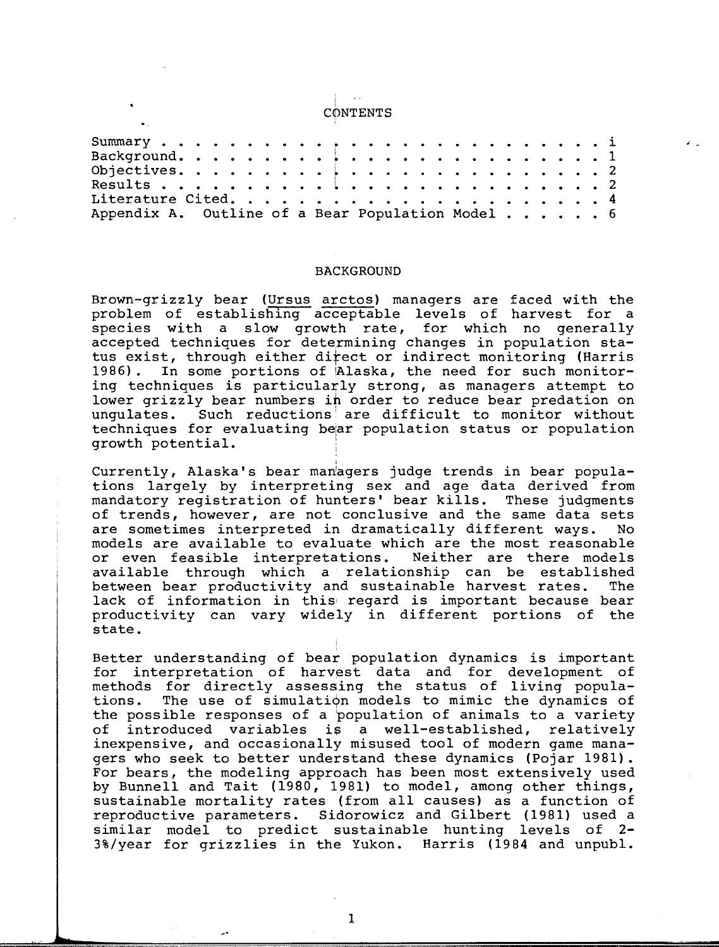#### i CONTENTS

| Appendix A. Outline of a Bear Population Model 6 |  |  |  |  |  |  |  |  |  |  |  |  |  |
|--------------------------------------------------|--|--|--|--|--|--|--|--|--|--|--|--|--|

### BACKGROUND

Brown-grizzly bear (Ursus arctos) managers are faced with the problem of establishing acceptable levels of harvest for a species with a slow growth rate, for which no generally accepted techniques for determining changes in population status exist, through either direct or indirect monitoring (Harris 1986). In some portions of Alaska, the need for such monitoring techniques is particularly strong, as managers attempt to lower grizzly bear numbers in order to reduce bear predation on ungulates. Such reductions are difficult to monitor without techniques for evaluating bear population status or population **growth potential.** <sup>I</sup>

Currently, Alaska's bear man'agers judge trends in bear populations largely by interpreting sex and age data derived from<br>mandatory registration of hunters' bear kills. These judgments mandatory registration of hunters' bear kills. of trends, however, are not conclusive and the same data sets are sometimes interpreted in dramatically different ways. No models are available to evaluate which are the most reasonable or even feasible interpretations. Neither are there models available through which a relationship can be established between bear productivity and sustainable harvest rates. The lack of information in this' regard is important because bear productivity can vary widely in different portions of the state.

I

Better understanding of bear population dynamics is important for interpretation of harvest data and for development of methods for directly assessing the status of living populations. The use of simulation models to mimic the dynamics of the possible responses of a population of animals to a variety of introduced variables is a well-established, relatively inexpensive, and occasionally misused tool of modern game managers who seek to better understand these dynamics (Pojar 1981). For bears, the modeling approach has been most extensively used by Bunnell and Tait (1980, 1981) to model, among other things, sustainable mortality rates (from all causes) as a function of reproductive parameters. Sidorowicz and Gilbert (1981) used a similar model to predict sustainable hunting levels of 2 3%/year for grizzlies in the Yukon. Harris (1984 and unpubl.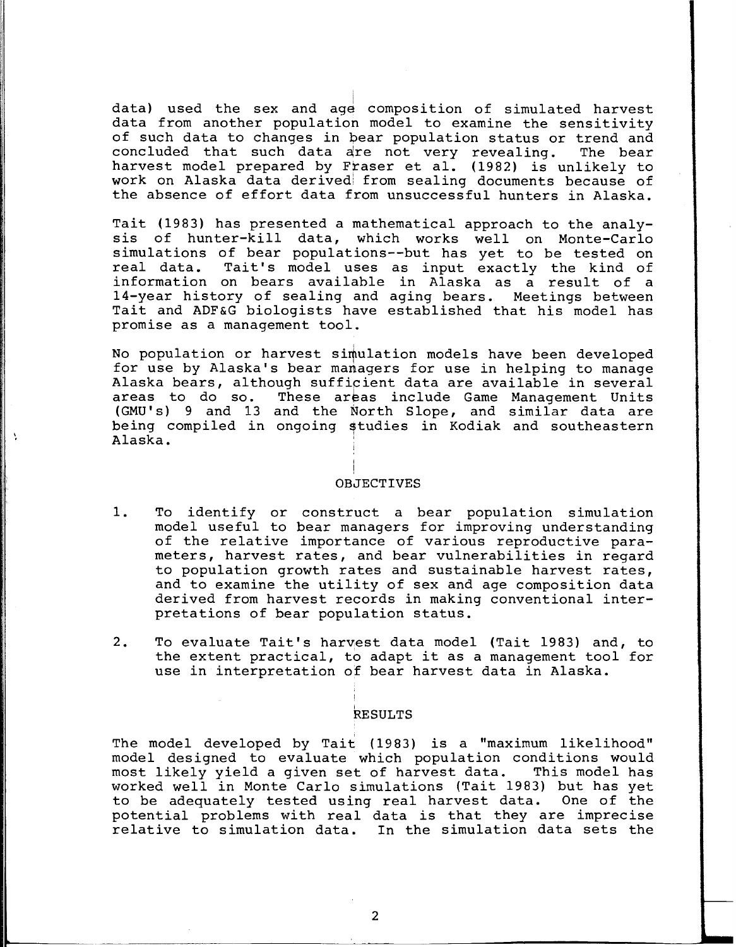data) used the sex and age composition of simulated harvest data from another population model to examine the sensitivity of such data to changes in bear population status or trend and concluded that such data are not very revealing. The bear harvest model prepared by Fraser et al. (1982) is unlikely to work on Alaska data derived from sealing documents because of the absence of effort data from unsuccessful hunters in Alaska.

Tait (1983) has presented a mathematical approach to the analysis of hunter-kill data, which works well on Monte-Carlo simulations of bear populations--but has yet to be tested on<br>real data. Tait's model uses as input exactly the kind of Tait's model uses as input exactly the kind of information on bears available in Alaska as a result of a 14-year history of sealing and aging bears. Meetings between Tait and ADF&G biologists have established that his model has promise as a management tool.

No population or harvest simulation models have been developed for use by Alaska's bear managers for use in helping to manage Alaska bears, although sufficient data are available in several<br>areas to do so. These areas include Game Management Units These areas include Game Management Units (GMU's) 9 and 13 and the North Slope, and similar data are being compiled in ongoing studies in Kodiak and southeastern Alaska.

### OBJECTIVES

 $\ddot{\phantom{1}}$ 

- 1. To identify or construct a bear population simulation model useful to bear managers for improving understanding of the relative importance of various reproductive parameters, harvest rates, and bear vulnerabilities in regard to population growth rates and sustainable harvest rates, and to examine the utility of sex and age composition data derived from harvest records in making conventional interpretations of bear population status.
- 2. To evaluate Tait's harvest data model (Tait 1983) and, to the extent practical, to adapt it as a management tool for use in interpretation of bear harvest data in Alaska.

# I RESULTS

The model developed by Tait (1983) is a "maximum likelihood" model designed to evaluate which population conditions would<br>most likely yield a given set of harvest data. This model has most likely yield a given set of harvest data. worked well in Monte Carlo simulations (Tait 1983) but has yet to be adequately tested using real harvest data. One of the potential problems with real data is that they are imprecise relative to simulation data. In the simulation data sets the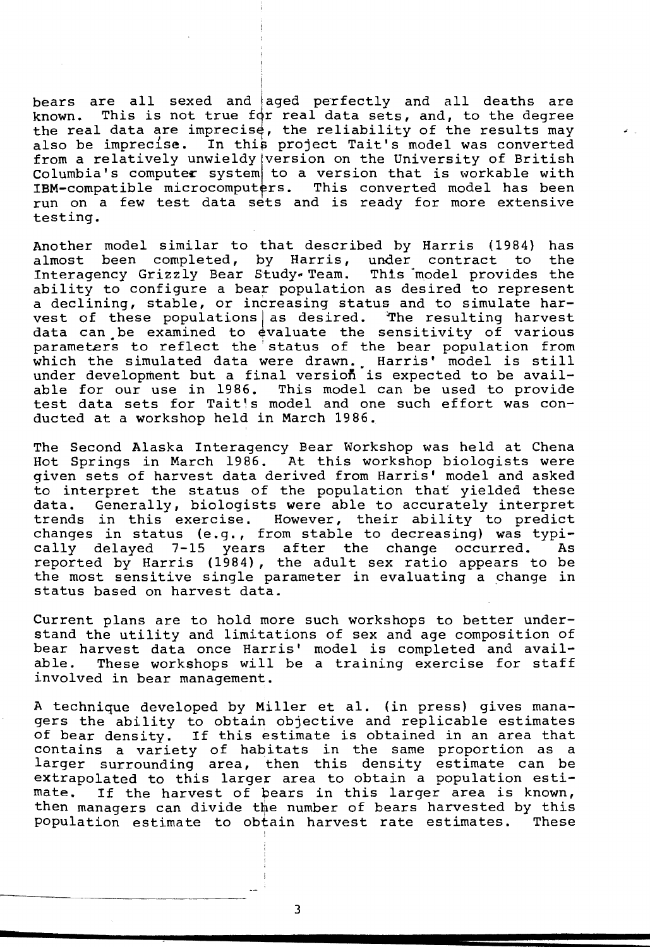bears are all sexed and aged perfectly and all deaths are bears are all sexed and aged perfectly and all deaths are<br>known. This is not true for real data sets, and, to the degree the real data are imprecise, the reliability of the results may also be imprecise. In this project Tait's model was converted from a relatively unwieldy version on the University of British Columbia's computer system to a version that is workable with IBM-compatible microcomputers. This converted model has been run on a few test data sets and is ready for more extensive testing.

Another model similar to that described by Harris (1984) has<br>almost been completed, by Harris, under contract to the almost been completed, by Harris, under contract to Interagency Grizzly Bear Study. Team. This model provides the ability to configure a bear population as desired to represent a declining, stable, or increasing status and to simulate harvest of these populations as desired. The resulting harvest data can .be examined to evaluate the sensitivity of various parameters to reflect the status of the bear population from parameters to reflect the status of the bear population from<br>which the simulated data were drawn. Harris' model is still under development but a final version is expected to be available for our use in 1986. This model can be used to provide test data sets for Tait's model and one such effort was conducted at a workshop held in March 1986.

The Second Alaska Interagency Bear Workshop was held at Chena Hot Springs in March 1986. At this workshop biologists were qiven sets of harvest data derived from Harris' model and asked to interpret the status of the population that yielded these data. Generally, biologists were able to accurately interpret trends in this exercise. However, their ability to predict changes in status (e.g., from stable to decreasing) was typically delayed 7-15 years after the change occurred. As reported by Harris (1984), the adult sex ratio appears to be the most sensitive single parameter in evaluating a change in status based on harvest data.

Current plans are to hold more such workshops to better understand the utility and limitations of sex and age composition of bear harvest data once Harris' model is completed and available. These workshops will be a training exercise for staff involved in bear management.

A technique developed by Miller et al. (in press) gives managers the ability to obtain objective and replicable estimates of bear density. If this estimate is obtained in an area that contains a variety of habitats in the same proportion as a larger surrounding area, then this density estimate can be extrapolated to this larger area to obtain a population estimate. If the harvest of bears in this larger area is known, then managers can divide the number of bears harvested by this<br>population estimate to obtain harvest rate estimates. These population estimate to obtain harvest rate estimates.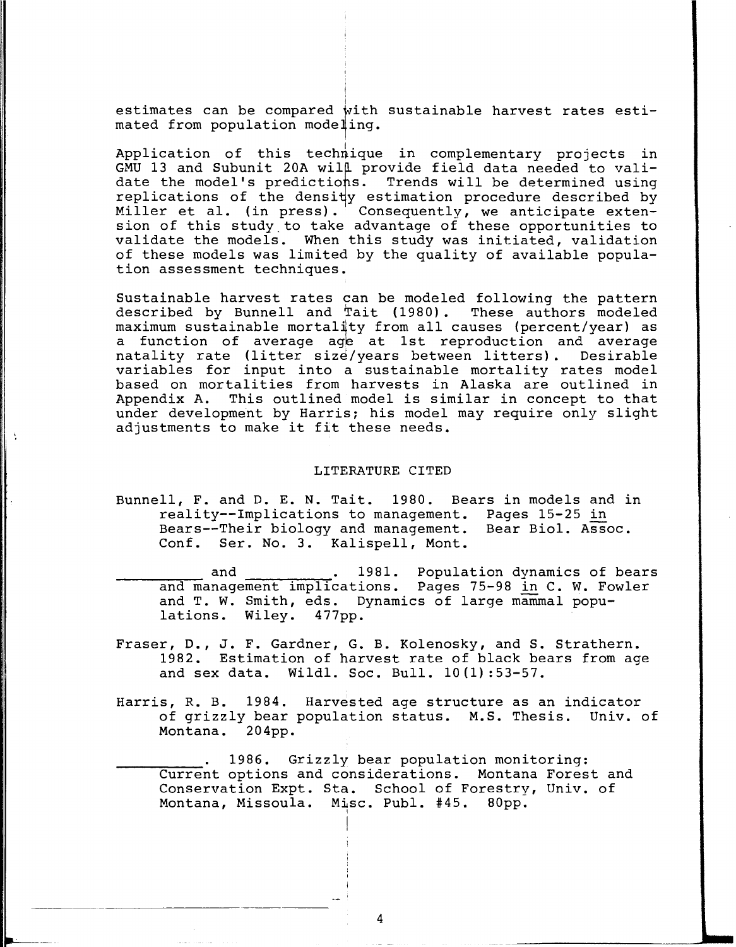estimates can be compared with sustainable harvest rates esti mated from population modeling.

i

Application of this technique in complementary projects in GMU 13 and Subunit 20A wil $\uparrow$  provide field data needed to validate the model's predictions. Trends will be determined using replications of the density estimation procedure described by Miller et al. (in press).  $\sqrt{ }$  Consequently, we anticipate extension of this study\_to take advantage of these opportunities to validate the models. When this study was initiated, validation of these models was limited by the quality of available population assessment techniques.

Sustainable harvest rates can be modeled following the pattern described by Bunnell and Tait (1980). These authors modeled maximum sustainable mortality from all causes (percent/year) as a function of average age at 1st reproduction and average natality rate (litter size/years between litters). Desirable variables for input into a sustainable mortality rates model based on mortalities from harvests in Alaska are outlined in<br>Appendix A. This outlined model is similar in concept to that This outlined model is similar in concept to that under development by Harris: his model may require only slight adjustments to make it fit these needs.

### LITERATURE CITED

Bunnell, F. and D. E. N. Tait. 1980. Bears in models and in reality--Implications to management. Pages 15-25 in Bears--Their biology and management. Bear Biol. Assoc. Conf. Ser. No. 3. Kalispell, Mont.

and 1981. Population dynamics of bears and management implications. Pages 75-98 in C. W. Fowler and T. W. Smith, eds. Dynamics of large mammal populations. Wiley. 477pp.

- Fraser, D., J. F. Gardner, G. B. Kolenosky, and S. Strathern. 1982. Estimation of harvest rate of black bears from age and sex data. Wildl. Soc. Bull. 10(1) :53-57.
- Harris, R. B. 1984. Harvested age structure as an indicator of grizzly bear population status. M.S. Thesis. Univ. of Montana. 204pp.

1986. Grizzly bear population monitoring: Current options and considerations. Montana Forest and Conservation Expt. Sta. School of Forestry, Univ. of Montana, Missoula. Misc. Publ. #45. 80pp.

4

I I

-~--~--

---------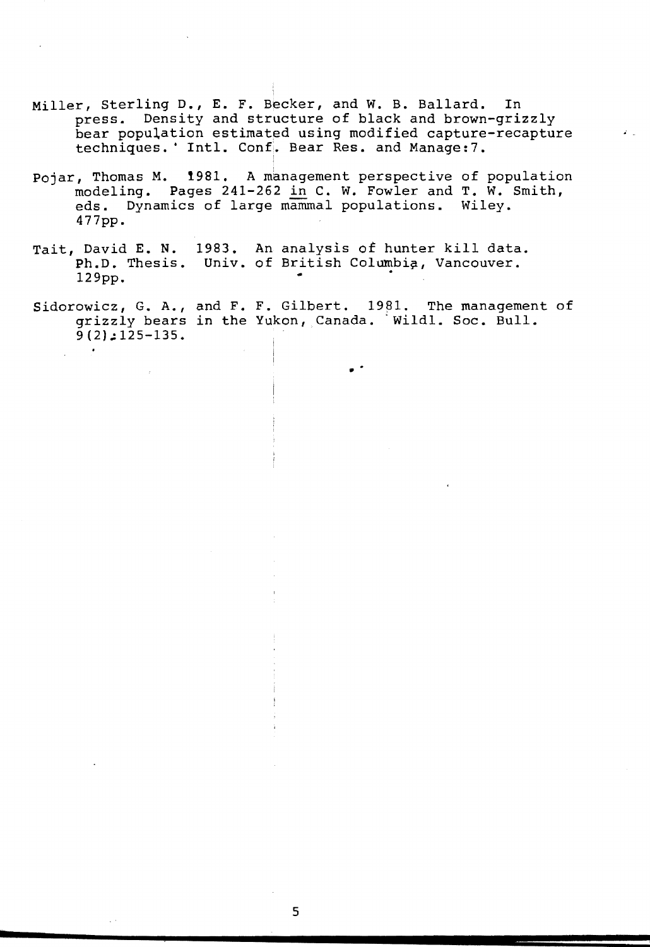- Miller, Sterling D., E. F. Becker, and W. B. Ballard. In press. Density and structure of black and brown-grizzly bear population estimated using modified capture-recapture techniques. ' Intl. Conf. Bear Res. and Manage: 7.
- Pojar, Thomas M. 1981. A management perspective of population modeling. Pages 241-262 in C. w. Fowler and T. W. Smith, eds. Dynamics of large mammal populations. Wiley. 477pp.
- Tait, David E. N. 1983. An analysis of hunter kill data. Ph.D. Thesis. Univ. of British Columbia, Vancouver. 129pp.

I

Sidorowicz, G. A., and F. F. Gilbert.  $1981$ . The management of grizzly bears in the Yukon, Canada. Wildl. Soc. Bull.  $9(2):125-135.$ 

..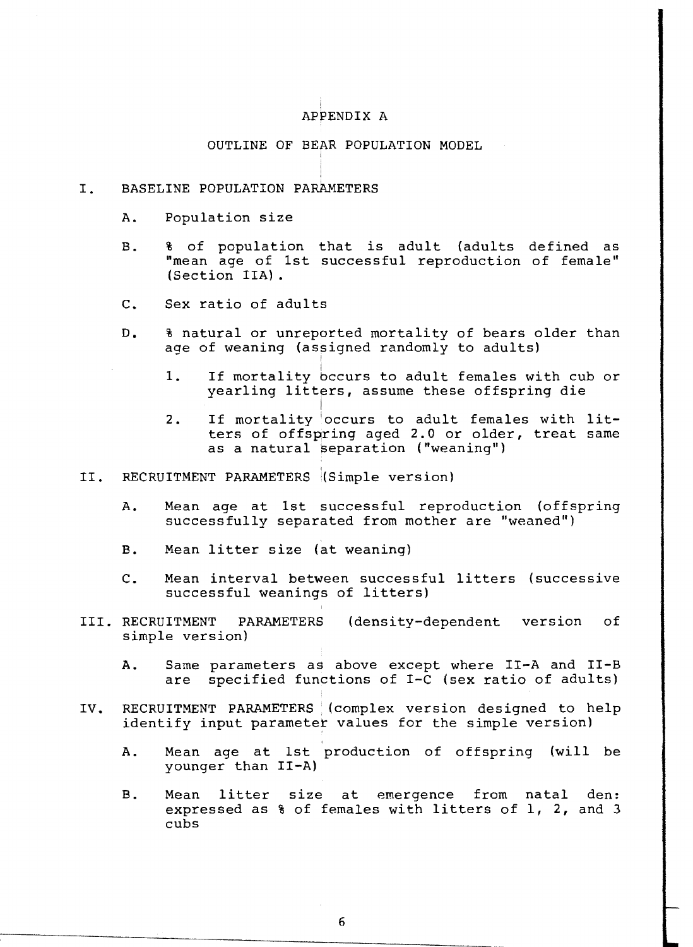# APPENDIX A

# OUTLINE OF BEAR POPULATION MODEL

# I. BASELINE POPULATION PARAMETERS

- A. Population size
- B. % of population that is adult (adults defined as "mean age of 1st successful reproduction of female" (Section IIA) •
- c. Sex ratio of adults
- D. 8 natural or unreported mortality of bears older than age of weaning (assigned randomly to adults)

I

- 1. If mortality occurs to adult females with cub or yearling litters, assume these offspring die
- I 1 2. If mortality occurs to adult females with lit ters of offspring aged 2.0 or older, treat same as a natural separation ("weaning")
- II. RECRUITMENT PARAMETERS (Simple version)
	- A. Mean age at 1st successful reproduction (offspring successfully separated from mother are "weaned")
	- B. Mean litter size (at weaning)
	- C. Mean interval between successful litters (successive successful weanings of litters)
- III. RECRUITMENT PARAMETERS (density-dependent version of simple version)
	- A. Same parameters as above except where II-A and II-B are specified functions of I-C (sex ratio of adults)
- IV. RECRUITMENT PARAMETERS (complex version designed to help identify input parameter values for the simple version)
	- A. Mean age at 1st production of offspring (will be younger than II-A)
	- B. Mean litter size at emergence from natal den: expressed as % of females with litters of 1, 2, and 3 cubs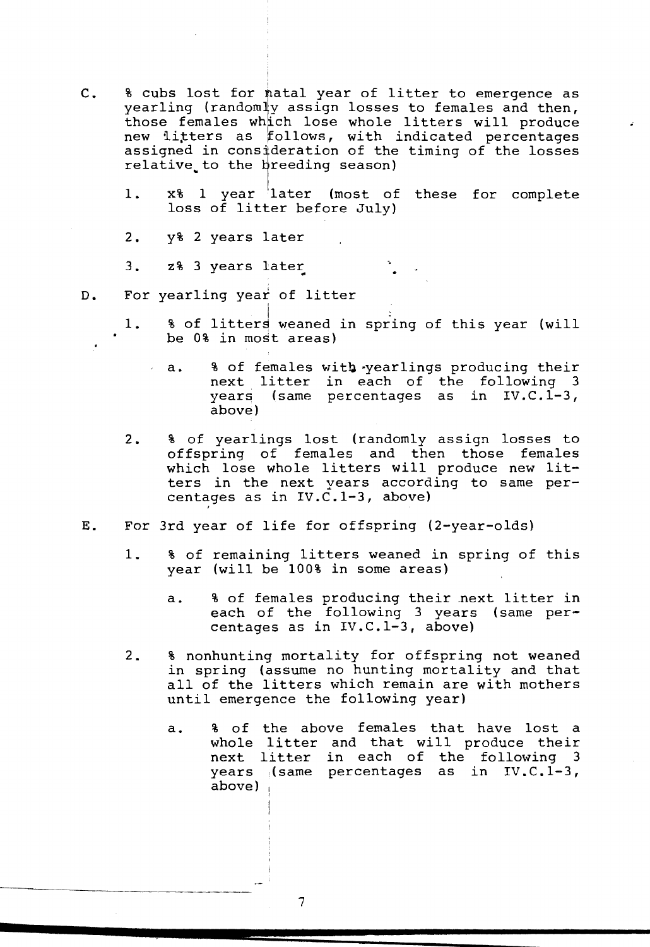C. 8 cubs lost for natal year of litter to emergence as yearling (random]y assign losses to females and then, yearing (randomly assign rosses to remares and then,<br>those females which lose whole litters will produce new litters as follows, with indicated percentages assigned in consideration of the timing of the losses relative to the breeding season)

I

- 1. x% 1 year later (most of these for complete loss of litter before July)
- 2. y% 2 years later
- 3. z% 3 years later
- D. For yearling year of litter

'

- 1. 8 of litters weaned in spring of this year (will be 0% in most areas)
	- a. 8 of females with yearlings producing their next litter in each of the following 3 years (same percentages as in IV.C.l-3, above)
- 2. & of yearlings lost (randomly assign losses to offspring of females and then those females which lose whole litters will produce new litters in the next years according to same percentages as in IV.C.1-3, above)
- E. For 3rd year of life for offspring (2-year-olds)
	- 1. 8 of remaining litters weaned in spring of this year (will be 100% in some areas)
		- a. 8 of females producing their next litter in each of the following 3 years (same percentages as in IV.C.l-3, above)
	- 2. 8 nonhunting mortality for offspring not weaned in spring (assume no hunting mortality and that all of the litters which remain are with mothers until emergence the following year)
		- a. & of the above females that have lost a whole litter and that will produce their next litter in each of the following 3 years  $\sqrt{3}$  (same percentages as in IV.C.1-3, above)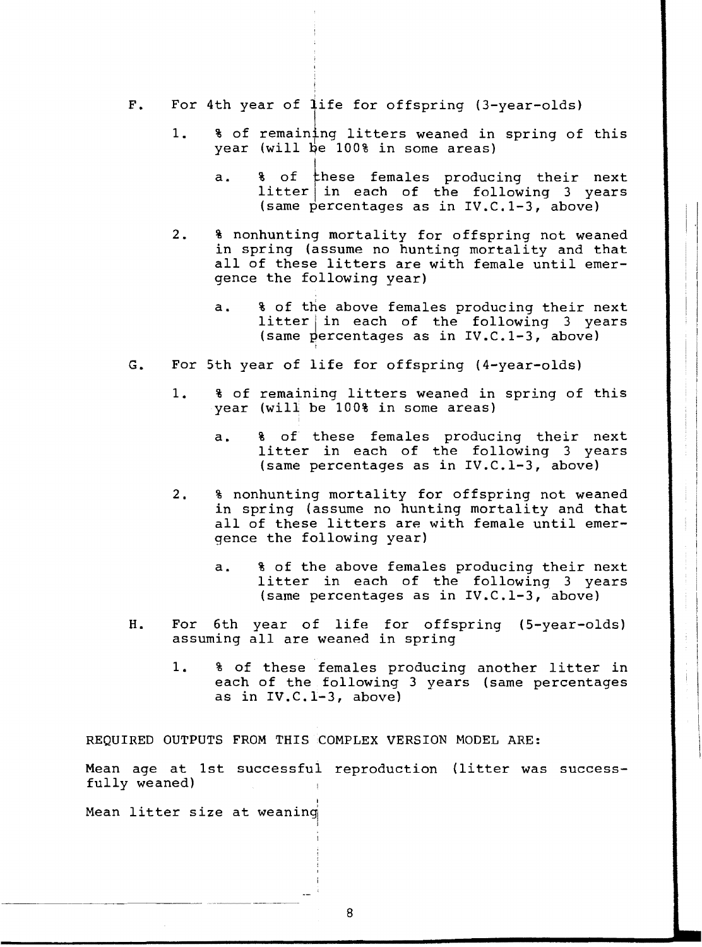- F. For 4th year of life for offspring (3-year-olds)
	- 1. 8 of remaining litters weaned in spring of this year (will be 100% in some areas)
		- a. 8 of these females producing their next  $litter$  in each of the following 3 years (same percentages as in IV.C.l-3, above)
	- 2. 8 nonhunting mortality for offspring not weaned in spring (assume no hunting mortality and that all of these litters are with female until emergence the following year)
		- a. 8 of the above females producing their next  $litter|in$  each of the following 3 years (same percentages as in IV.C.1-3, above)
- G. For 5th year of life for offspring (4-year-olds)

'

- 1. % of remaining litters weaned in spring of this year (will be 100% in some areas)
	- a. & of these females producing their next litter in each of the following 3 years (same percentages as in IV.C.l-3, above)
- 2. 8 nonhunting mortality for offspring not weaned in spring (assume no hunting mortality and that all of these litters are with female until emergence the following year)
	- a. 8 of the above females producing their next litter in each of the following 3 years (same percentages as in IV.C.l-3, above)
- H. For 6th year of life for offspring (5-year-olds) assuming all are weaned in spring
	- 1. % of these females producing another litter in each of the following 3 years (same percentages as in IV.C.l-3, above)

REQUIRED OUTPUTS FROM THIS COMPLEX VERSION MODEL ARE:

'

Mean age at 1st successful reproduction (litter was successfully weaned)

Mean litter size at weaning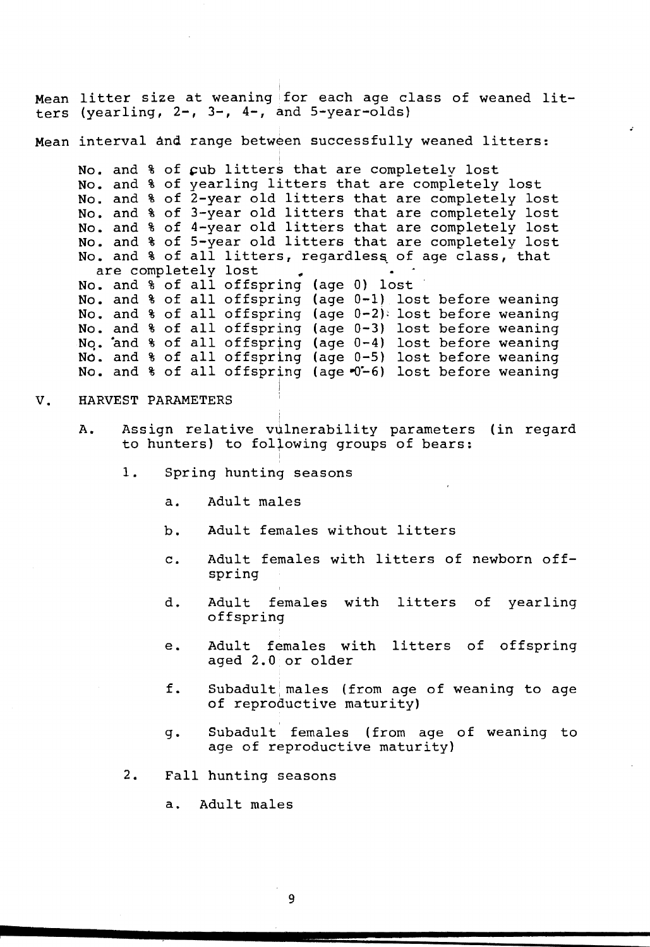Mean litter size at weaning for each age class of weaned lit ters (yearling, 2-, 3-, 4-, and 5-year-olds)

Mean interval and range between successfully weaned litters:

i

No. and % of cub litters that are completely lost No. and & Of cap fitters that are completely lost<br>No. and & of yearling litters that are completely lost No. and % of yearing freens that are completely lost No. and % of 3-year old litters that are completely lost No. and & of 5 year old litters that are completely lost No. and % of 4-year old litters that are completely lost<br>No. and % of 5-year old litters that are completely lost No. and % of all litters, regardless of age class, that are completely lost No. and % of all offspring (age 0) lost No. and % of all offspring (age 0-1) lost before weaning No. and  $\frac{1}{3}$  of all offspring (age 0-1) lost before weaning<br>No. and  $\frac{1}{3}$  of all offspring (age 0-2): lost before weaning No. and % of all offspring (age 0-2) lost before weaning<br>No. and % of all offspring (age 0-3) lost before weaning No. and % of all offspring (age 0 5) lost before weaning<br>No. and % of all offspring (age 0-4) lost before weaning No. and % of all offspring (age 0-5) lost before weaning No. and  $%$  of all offspring (age  $%$  -6) lost before weaning I

#### V. HARVEST PARAMETERS

- A. Assign relative vulnerability parameters (in regard to hunters) to following groups of bears:
	- 1. Spring hunting seasons
		- a. Adult males
		- b. Adult females without litters

I

- c. Adult females with litters of newborn offspring
- d. Adult females with litters of yearling offspring
- e. Adult females with litters of offspring aged 2.0 or older
- $f.$  Subadult males (from age of weaning to age of reproductive maturity)
- g. Subadult ' females (from age of weaning to age of reproductive maturity)
- 2. Fall hunting seasons

a. Adult males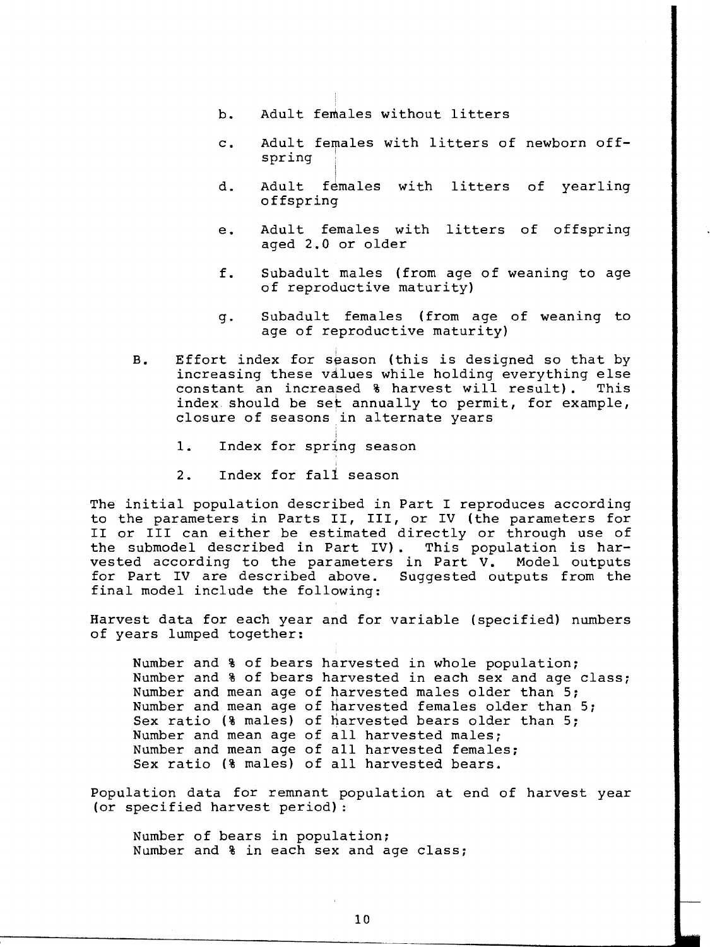- b. Adult females without litters
- c. Adult females with litters of newborn offspring i
- d. Adult females with litters of yearling offspring
- e. Adult females with litters of offspring aged 2.0 or older
- f. Subadult males (from age of weaning to age of reproductive maturity)
- g. Subadult females (from age of weaning to age of reproductive maturity)
- B. Effort index for season (this is designed so that by increasing these values while holding everything else constant an increased & harvest will result). This index should be set annually to permit, for example, closure of seasons in alternate years
	- 1. Index for spring season

i

2. Index for fall season

The initial population described in Part I reproduces according to the parameters in Parts II, III, or IV (the parameters for II or III can either be estimated directly or through use of<br>the submodel described in Part IV). This population is harthe submodel described in Part IV). This population is har-<br>vested according to the parameters in Part V. Model outputs vested according to the parameters in Part V. Model outputs<br>for Part IV are described above. Suggested outputs from the for Part IV are described above. final model include the following:

Harvest data for each year and for variable (specified) numbers of years lumped together:

Number and % of bears harvested in whole population; Number and % of bears harvested in each sex and age class; Number and mean age of harvested males older than 5; Number and mean age of harvested females older than 5; Sex ratio (% males) of harvested bears older than 5; Number and mean age of all harvested males; Number and mean age of all harvested females; Sex ratio (% males) of all harvested bears.

Population data for remnant population at end of harvest year (or specified harvest period) :

Number of bears in population; Number and % in each sex and age class;